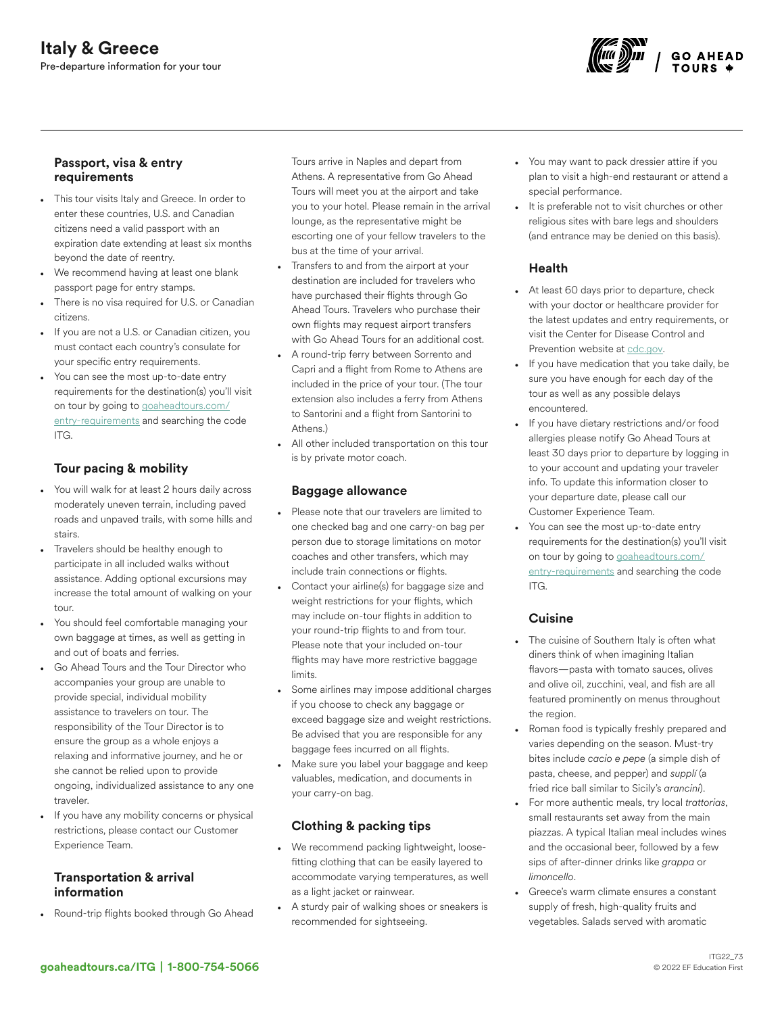

#### Passport, visa & entry requirements

- This tour visits Italy and Greece. In order to enter these countries, U.S. and Canadian citizens need a valid passport with an expiration date extending at least six months beyond the date of reentry.
- We recommend having at least one blank passport page for entry stamps.
- There is no visa required for U.S. or Canadian citizens.
- If you are not a U.S. or Canadian citizen, you must contact each country's consulate for your specific entry requirements.
- You can see the most up-to-date entry requirements for the destination(s) you'll visit on tour by going to [goaheadtours.com/](/entry-requirements?tourCode=ITG) [entry-requirements](/entry-requirements?tourCode=ITG) and searching the code ITG.

## Tour pacing & mobility

- You will walk for at least 2 hours daily across moderately uneven terrain, including paved roads and unpaved trails, with some hills and stairs.
- Travelers should be healthy enough to participate in all included walks without assistance. Adding optional excursions may increase the total amount of walking on your tour.
- You should feel comfortable managing your own baggage at times, as well as getting in and out of boats and ferries.
- Go Ahead Tours and the Tour Director who accompanies your group are unable to provide special, individual mobility assistance to travelers on tour. The responsibility of the Tour Director is to ensure the group as a whole enjoys a relaxing and informative journey, and he or she cannot be relied upon to provide ongoing, individualized assistance to any one traveler.
- If you have any mobility concerns or physical restrictions, please contact our Customer Experience Team.

## Transportation & arrival information

• Round-trip flights booked through Go Ahead

Tours arrive in Naples and depart from Athens. A representative from Go Ahead Tours will meet you at the airport and take you to your hotel. Please remain in the arrival lounge, as the representative might be escorting one of your fellow travelers to the bus at the time of your arrival.

- Transfers to and from the airport at your destination are included for travelers who have purchased their flights through Go Ahead Tours. Travelers who purchase their own flights may request airport transfers with Go Ahead Tours for an additional cost.
- A round-trip ferry between Sorrento and Capri and a flight from Rome to Athens are included in the price of your tour. (The tour extension also includes a ferry from Athens to Santorini and a flight from Santorini to Athens.)
- All other included transportation on this tour is by private motor coach.

#### Baggage allowance

- Please note that our travelers are limited to one checked bag and one carry-on bag per person due to storage limitations on motor coaches and other transfers, which may include train connections or flights.
- Contact your airline(s) for baggage size and weight restrictions for your flights, which may include on-tour flights in addition to your round-trip flights to and from tour. Please note that your included on-tour flights may have more restrictive baggage limits.
- Some airlines may impose additional charges if you choose to check any baggage or exceed baggage size and weight restrictions. Be advised that you are responsible for any baggage fees incurred on all flights.
- Make sure you label your baggage and keep valuables, medication, and documents in your carry-on bag.

# Clothing & packing tips

- We recommend packing lightweight, loosefitting clothing that can be easily layered to accommodate varying temperatures, as well as a light jacket or rainwear.
- A sturdy pair of walking shoes or sneakers is recommended for sightseeing.
- You may want to pack dressier attire if you plan to visit a high-end restaurant or attend a special performance.
- It is preferable not to visit churches or other religious sites with bare legs and shoulders (and entrance may be denied on this basis).

## Health

- At least 60 days prior to departure, check with your doctor or healthcare provider for the latest updates and entry requirements, or visit the Center for Disease Control and Prevention website at [cdc.gov.](https://www.cdc.gov/)
- If you have medication that you take daily, be sure you have enough for each day of the tour as well as any possible delays encountered.
- If you have dietary restrictions and/or food allergies please notify Go Ahead Tours at least 30 days prior to departure by logging in to your account and updating your traveler info. To update this information closer to your departure date, please call our Customer Experience Team.
- You can see the most up-to-date entry requirements for the destination(s) you'll visit on tour by going to [goaheadtours.com/](/entry-requirements?tourCode=ITG) [entry-requirements](/entry-requirements?tourCode=ITG) and searching the code ITG.

# Cuisine

- The cuisine of Southern Italy is often what diners think of when imagining Italian flavors—pasta with tomato sauces, olives and olive oil, zucchini, veal, and fish are all featured prominently on menus throughout the region.
- Roman food is typically freshly prepared and varies depending on the season. Must-try bites include *cacio e pepe* (a simple dish of pasta, cheese, and pepper) and *supplí* (a fried rice ball similar to Sicily's *arancini*).
- For more authentic meals, try local *trattorias*, small restaurants set away from the main piazzas. A typical Italian meal includes wines and the occasional beer, followed by a few sips of after-dinner drinks like *grappa* or *limoncello*.
- Greece's warm climate ensures a constant supply of fresh, high-quality fruits and vegetables. Salads served with aromatic